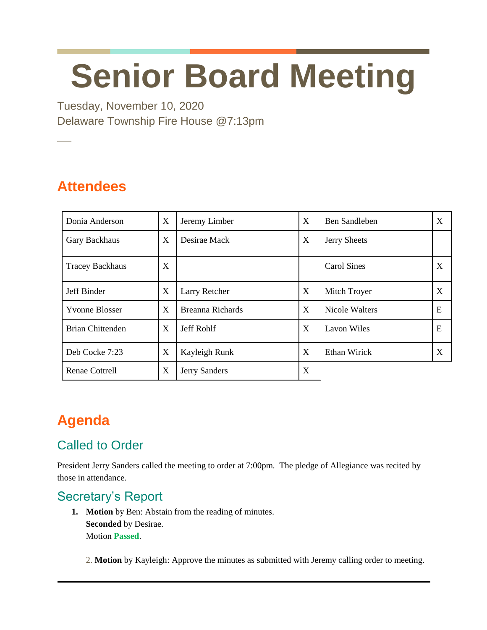# **Senior Board Meeting**

Tuesday, November 10, 2020 Delaware Township Fire House @7:13pm

# **Attendees**

**─**

| Donia Anderson          | X | Jeremy Limber           | X            | <b>Ben Sandleben</b>  | X |
|-------------------------|---|-------------------------|--------------|-----------------------|---|
| Gary Backhaus           | X | Desirae Mack            | X            | <b>Jerry Sheets</b>   |   |
| <b>Tracey Backhaus</b>  | X |                         |              | <b>Carol Sines</b>    | X |
| Jeff Binder             | X | Larry Retcher           | X            | Mitch Troyer          | X |
| <b>Yvonne Blosser</b>   | X | <b>Breanna Richards</b> | $\mathbf{X}$ | <b>Nicole Walters</b> | E |
| <b>Brian Chittenden</b> | X | <b>Jeff Rohlf</b>       | X            | <b>Lavon Wiles</b>    | E |
| Deb Cocke 7:23          | X | Kayleigh Runk           | X            | Ethan Wirick          | X |
| <b>Renae Cottrell</b>   | X | Jerry Sanders           | X            |                       |   |

# **Agenda**

# Called to Order

President Jerry Sanders called the meeting to order at 7:00pm. The pledge of Allegiance was recited by those in attendance.

#### Secretary's Report

**1. Motion** by Ben: Abstain from the reading of minutes. **Seconded** by Desirae. Motion **Passed**.

2. **Motion** by Kayleigh: Approve the minutes as submitted with Jeremy calling order to meeting.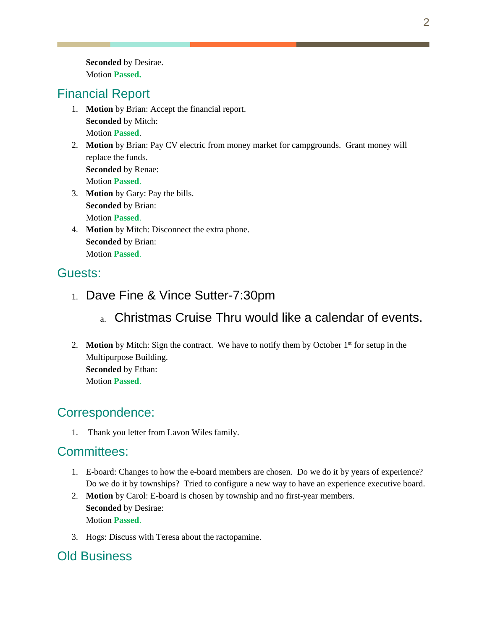**Seconded** by Desirae. Motion **Passed.**

#### Financial Report

- 1. **Motion** by Brian: Accept the financial report. **Seconded** by Mitch: Motion **Passed**.
- 2. **Motion** by Brian: Pay CV electric from money market for campgrounds. Grant money will replace the funds. **Seconded** by Renae: Motion **Passed**.
- 3. **Motion** by Gary: Pay the bills. **Seconded** by Brian: Motion **Passed**.
- 4. **Motion** by Mitch: Disconnect the extra phone. **Seconded** by Brian: Motion **Passed**.

#### Guests:

- 1. Dave Fine & Vince Sutter-7:30pm
	- a. Christmas Cruise Thru would like a calendar of events.
- 2. **Motion** by Mitch: Sign the contract. We have to notify them by October 1<sup>st</sup> for setup in the Multipurpose Building. **Seconded** by Ethan: Motion **Passed**.

#### Correspondence:

1. Thank you letter from Lavon Wiles family.

#### Committees:

- 1. E-board: Changes to how the e-board members are chosen. Do we do it by years of experience? Do we do it by townships? Tried to configure a new way to have an experience executive board.
- 2. **Motion** by Carol: E-board is chosen by township and no first-year members. **Seconded** by Desirae: Motion **Passed**.
- 3. Hogs: Discuss with Teresa about the ractopamine.

## Old Business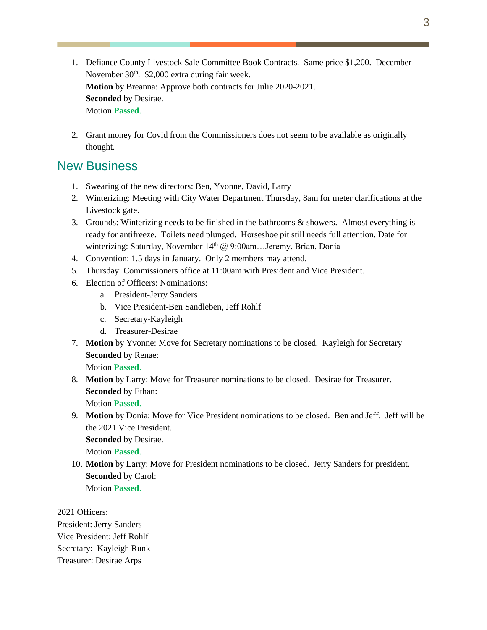- 1. Defiance County Livestock Sale Committee Book Contracts. Same price \$1,200. December 1- November 30<sup>th</sup>. \$2,000 extra during fair week. **Motion** by Breanna: Approve both contracts for Julie 2020-2021. **Seconded** by Desirae. Motion **Passed**.
- 2. Grant money for Covid from the Commissioners does not seem to be available as originally thought.

#### New Business

- 1. Swearing of the new directors: Ben, Yvonne, David, Larry
- 2. Winterizing: Meeting with City Water Department Thursday, 8am for meter clarifications at the Livestock gate.
- 3. Grounds: Winterizing needs to be finished in the bathrooms & showers. Almost everything is ready for antifreeze. Toilets need plunged. Horseshoe pit still needs full attention. Date for winterizing: Saturday, November 14<sup>th</sup> @ 9:00am...Jeremy, Brian, Donia
- 4. Convention: 1.5 days in January. Only 2 members may attend.
- 5. Thursday: Commissioners office at 11:00am with President and Vice President.
- 6. Election of Officers: Nominations:
	- a. President-Jerry Sanders
	- b. Vice President-Ben Sandleben, Jeff Rohlf
	- c. Secretary-Kayleigh
	- d. Treasurer-Desirae
- 7. **Motion** by Yvonne: Move for Secretary nominations to be closed. Kayleigh for Secretary **Seconded** by Renae:

Motion **Passed**.

- 8. **Motion** by Larry: Move for Treasurer nominations to be closed. Desirae for Treasurer. **Seconded** by Ethan: Motion **Passed**.
- 9. **Motion** by Donia: Move for Vice President nominations to be closed. Ben and Jeff. Jeff will be the 2021 Vice President. **Seconded** by Desirae. Motion **Passed**.
- 10. **Motion** by Larry: Move for President nominations to be closed. Jerry Sanders for president. **Seconded** by Carol: Motion **Passed**.

2021 Officers:

President: Jerry Sanders Vice President: Jeff Rohlf Secretary: Kayleigh Runk Treasurer: Desirae Arps